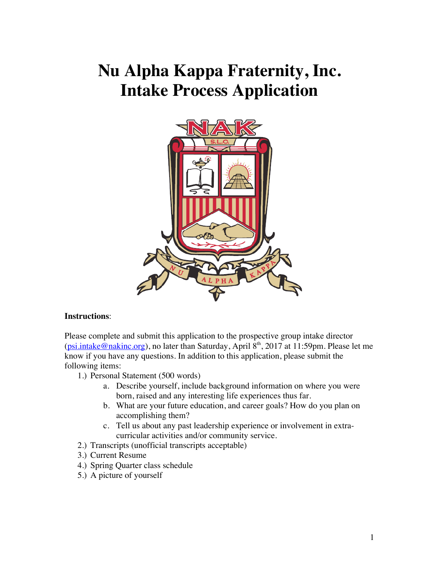# **Nu Alpha Kappa Fraternity, Inc. Intake Process Application**



#### **Instructions**:

Please complete and submit this application to the prospective group intake director (psi.intake@nakinc.org), no later than Saturday, April  $8<sup>th</sup>$ , 2017 at 11:59pm. Please let me know if you have any questions. In addition to this application, please submit the following items:

- 1.) Personal Statement (500 words)
	- a. Describe yourself, include background information on where you were born, raised and any interesting life experiences thus far.
	- b. What are your future education, and career goals? How do you plan on accomplishing them?
	- c. Tell us about any past leadership experience or involvement in extracurricular activities and/or community service.
- 2.) Transcripts (unofficial transcripts acceptable)
- 3.) Current Resume
- 4.) Spring Quarter class schedule
- 5.) A picture of yourself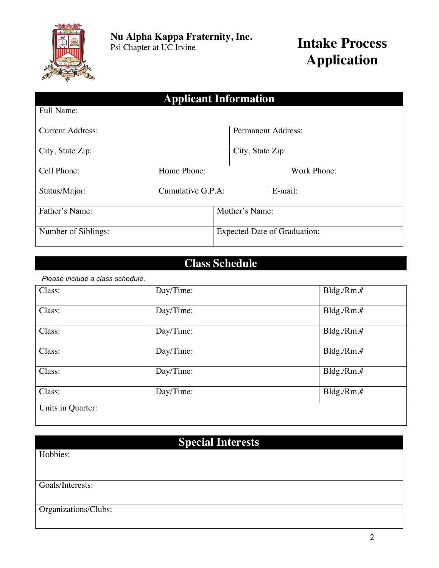

# **Applicant Information**

| Full Name:              |                   |                                     |                           |         |             |
|-------------------------|-------------------|-------------------------------------|---------------------------|---------|-------------|
| <b>Current Address:</b> |                   |                                     | <b>Permanent Address:</b> |         |             |
| City, State Zip:        |                   |                                     | City, State Zip:          |         |             |
| Cell Phone:             | Home Phone:       |                                     |                           |         | Work Phone: |
| Status/Major:           | Cumulative G.P.A: |                                     |                           | E-mail: |             |
| Father's Name:          |                   | Mother's Name:                      |                           |         |             |
| Number of Siblings:     |                   | <b>Expected Date of Graduation:</b> |                           |         |             |

# **Class Schedule**

| Please include a class schedule. |           |              |  |
|----------------------------------|-----------|--------------|--|
| Class:                           | Day/Time: | Bldg./Rm.#   |  |
| Class:                           | Day/Time: | Bldg./Rm.#   |  |
| Class:                           | Day/Time: | Bldg./Rm.#   |  |
| Class:                           | Day/Time: | Bldg./Rm.#   |  |
| Class:                           | Day/Time: | $Bldg/Rm.$ # |  |
| Class:                           | Day/Time: | Bldg/Rm.#    |  |
| Units in Quarter:                |           |              |  |

## **Special Interests**

Hobbies:

Goals/Interests:

Organizations/Clubs: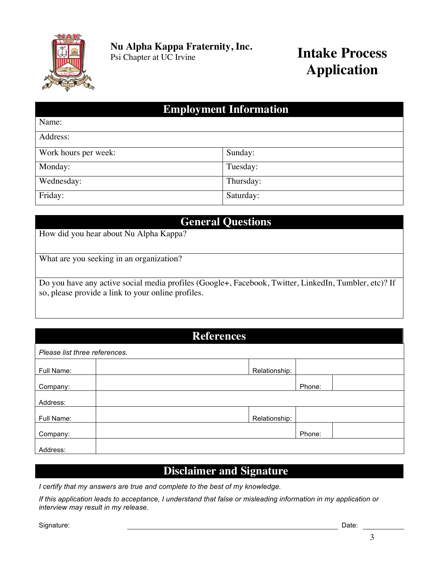

**Nu Alpha Kappa Fraternity, Inc.**

# **Intake Process Application**

### **Employment Information**

| Name:                |           |
|----------------------|-----------|
| Address:             |           |
| Work hours per week: | Sunday:   |
| Monday:              | Tuesday:  |
| Wednesday:           | Thursday: |
| Friday:              | Saturday: |

### **General Questions**

How did you hear about Nu Alpha Kappa?

What are you seeking in an organization?

Do you have any active social media profiles (Google+, Facebook, Twitter, LinkedIn, Tumbler, etc)? If so, please provide a link to your online profiles.

#### **References**

| Please list three references. |               |        |  |  |
|-------------------------------|---------------|--------|--|--|
| Full Name:                    | Relationship: |        |  |  |
| Company:                      |               | Phone: |  |  |
| Address:                      |               |        |  |  |
| Full Name:                    | Relationship: |        |  |  |
| Company:                      |               | Phone: |  |  |
| Address:                      |               |        |  |  |

### **Disclaimer and Signature**

*I certify that my answers are true and complete to the best of my knowledge.* 

*If this application leads to acceptance, I understand that false or misleading information in my application or interview may result in my release.*

Signature: Date: